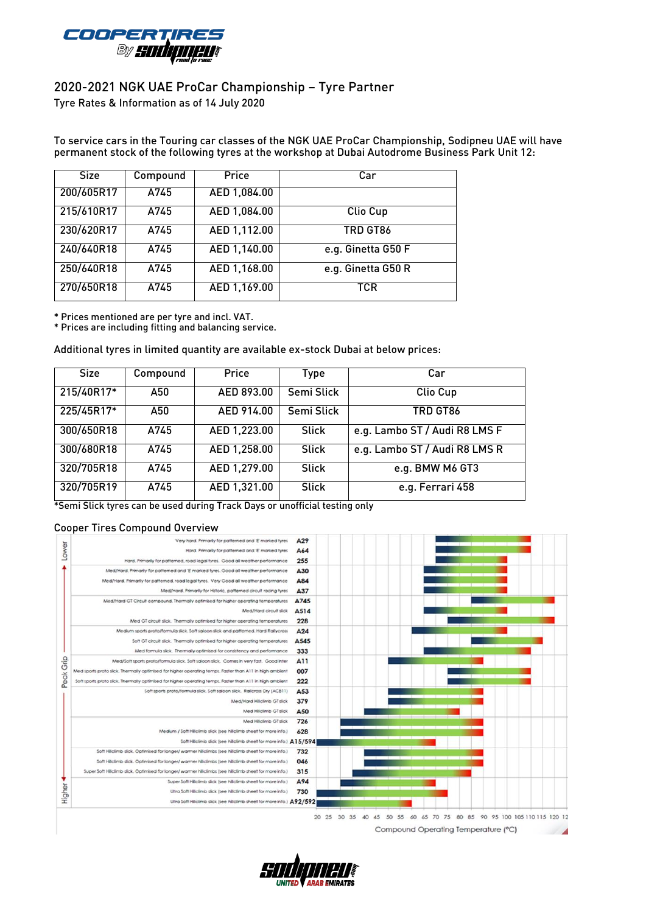

## 2020-2021 NGK UAE ProCar Championship – Tyre Partner

Tyre Rates & Information as of 14 July 2020

To service cars in the Touring car classes of the NGK UAE ProCar Championship, Sodipneu UAE will have permanent stock of the following tyres at the workshop at Dubai Autodrome Business Park Unit 12:

| <b>Size</b> | Compound | Price        | Car                |  |  |  |  |
|-------------|----------|--------------|--------------------|--|--|--|--|
| 200/605R17  | A745     | AED 1,084.00 |                    |  |  |  |  |
| 215/610R17  | A745     | AED 1,084.00 | Clio Cup           |  |  |  |  |
| 230/620R17  | A745     | AED 1,112.00 | TRD GT86           |  |  |  |  |
| 240/640R18  | A745     | AED 1,140.00 | e.g. Ginetta G50 F |  |  |  |  |
| 250/640R18  | A745     | AED 1,168.00 | e.g. Ginetta G50 R |  |  |  |  |
| 270/650R18  | A745     | AED 1,169.00 | TCR                |  |  |  |  |

\* Prices mentioned are per tyre and incl. VAT.

\* Prices are including fitting and balancing service.

Additional tyres in limited quantity are available ex-stock Dubai at below prices:

| <b>Size</b> | Compound | Price        | Type         | Car                           |  |  |  |
|-------------|----------|--------------|--------------|-------------------------------|--|--|--|
| 215/40R17*  | A50      | AED 893.00   | Semi Slick   | Clio Cup                      |  |  |  |
| 225/45R17*  | A50      | AED 914.00   | Semi Slick   | TRD GT86                      |  |  |  |
| 300/650R18  | A745     | AED 1,223.00 | <b>Slick</b> | e.g. Lambo ST / Audi R8 LMS F |  |  |  |
| 300/680R18  | A745     | AED 1,258.00 | <b>Slick</b> | e.g. Lambo ST / Audi R8 LMS R |  |  |  |
| 320/705R18  | A745     | AED 1,279.00 | <b>Slick</b> | e.g. BMW M6 GT3               |  |  |  |
| 320/705R19  | A745     | AED 1,321.00 | <b>Slick</b> | e.g. Ferrari 458              |  |  |  |

\*Semi Slick tyres can be used during Track Days or unofficial testing only

## Cooper Tires Compound Overview



Compound Operating Temperature (°C)

 $\sim$